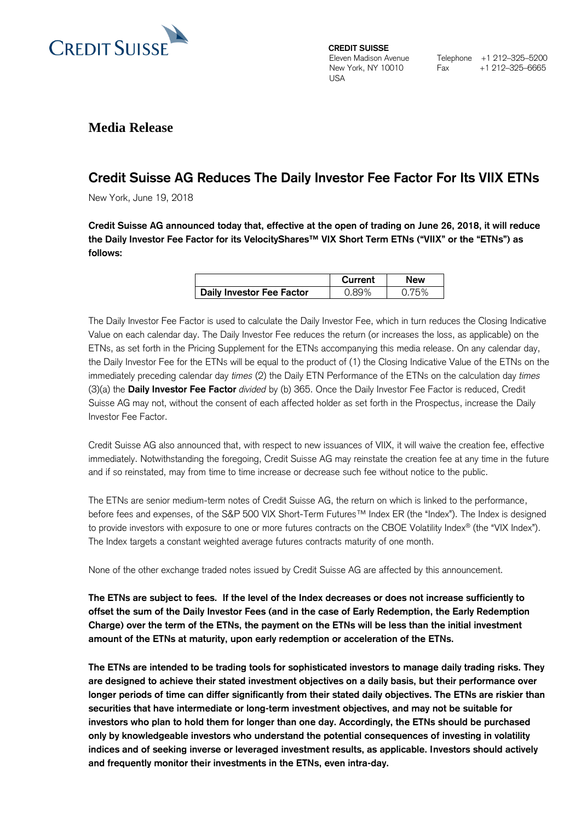

**CREDIT SUISSE**  Eleven Madison Avenue New York, NY 10010 USA

Telephone +1 212-325-5200<br>Fax +1 212-325-6665 Fax +1 212–325–6665

## **Media Release**

# **Credit Suisse AG Reduces The Daily Investor Fee Factor For Its VIIX ETNs**

New York, June 19, 2018

**Credit Suisse AG announced today that, effective at the open of trading on June 26, 2018, it will reduce the Daily Investor Fee Factor for its VelocityShares™ VIX Short Term ETNs ("VIIX" or the "ETNs") as follows:**

|                           | Current | New |
|---------------------------|---------|-----|
| Daily Investor Fee Factor |         |     |

The Daily Investor Fee Factor is used to calculate the Daily Investor Fee, which in turn reduces the Closing Indicative Value on each calendar day. The Daily Investor Fee reduces the return (or increases the loss, as applicable) on the ETNs, as set forth in the Pricing Supplement for the ETNs accompanying this media release. On any calendar day, the Daily Investor Fee for the ETNs will be equal to the product of (1) the Closing Indicative Value of the ETNs on the immediately preceding calendar day *times* (2) the Daily ETN Performance of the ETNs on the calculation day *times* (3)(a) the **Daily Investor Fee Factor** *divided* by (b) 365. Once the Daily Investor Fee Factor is reduced, Credit Suisse AG may not, without the consent of each affected holder as set forth in the Prospectus, increase the Daily Investor Fee Factor.

Credit Suisse AG also announced that, with respect to new issuances of VIIX, it will waive the creation fee, effective immediately. Notwithstanding the foregoing, Credit Suisse AG may reinstate the creation fee at any time in the future and if so reinstated, may from time to time increase or decrease such fee without notice to the public.

The ETNs are senior medium-term notes of Credit Suisse AG, the return on which is linked to the performance, before fees and expenses, of the S&P 500 VIX Short-Term Futures™ Index ER (the "Index"). The Index is designed to provide investors with exposure to one or more futures contracts on the CBOE Volatility Index® (the "VIX Index"). The Index targets a constant weighted average futures contracts maturity of one month.

None of the other exchange traded notes issued by Credit Suisse AG are affected by this announcement.

**The ETNs are subject to fees. If the level of the Index decreases or does not increase sufficiently to offset the sum of the Daily Investor Fees (and in the case of Early Redemption, the Early Redemption Charge) over the term of the ETNs, the payment on the ETNs will be less than the initial investment amount of the ETNs at maturity, upon early redemption or acceleration of the ETNs.**

**The ETNs are intended to be trading tools for sophisticated investors to manage daily trading risks. They are designed to achieve their stated investment objectives on a daily basis, but their performance over longer periods of time can differ significantly from their stated daily objectives. The ETNs are riskier than securities that have intermediate or long-term investment objectives, and may not be suitable for investors who plan to hold them for longer than one day. Accordingly, the ETNs should be purchased only by knowledgeable investors who understand the potential consequences of investing in volatility indices and of seeking inverse or leveraged investment results, as applicable. Investors should actively and frequently monitor their investments in the ETNs, even intra-day.**